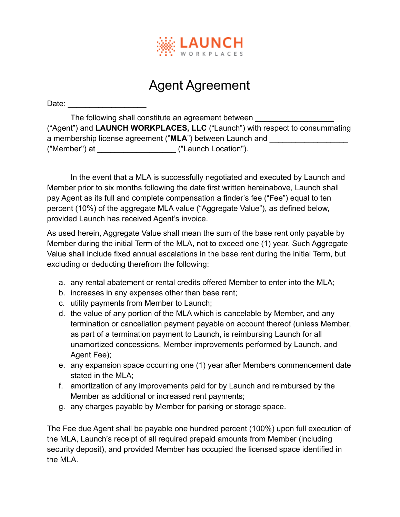

## Agent Agreement

Date:

The following shall constitute an agreement between ("Agent") and **LAUNCH WORKPLACES, LLC** ("Launch") with respect to consummating a membership license agreement ("MLA") between Launch and ("Member") at \_\_\_\_\_\_\_\_\_\_\_\_\_\_\_\_\_\_ ("Launch Location").

In the event that a MLA is successfully negotiated and executed by Launch and Member prior to six months following the date first written hereinabove, Launch shall pay Agent as its full and complete compensation a finder's fee ("Fee") equal to ten percent (10%) of the aggregate MLA value ("Aggregate Value"), as defined below, provided Launch has received Agent's invoice.

As used herein, Aggregate Value shall mean the sum of the base rent only payable by Member during the initial Term of the MLA, not to exceed one (1) year. Such Aggregate Value shall include fixed annual escalations in the base rent during the initial Term, but excluding or deducting therefrom the following:

- a. any rental abatement or rental credits offered Member to enter into the MLA;
- b. increases in any expenses other than base rent;
- c. utility payments from Member to Launch;
- d. the value of any portion of the MLA which is cancelable by Member, and any termination or cancellation payment payable on account thereof (unless Member, as part of a termination payment to Launch, is reimbursing Launch for all unamortized concessions, Member improvements performed by Launch, and Agent Fee);
- e. any expansion space occurring one (1) year after Members commencement date stated in the MLA;
- f. amortization of any improvements paid for by Launch and reimbursed by the Member as additional or increased rent payments;
- g. any charges payable by Member for parking or storage space.

The Fee due Agent shall be payable one hundred percent (100%) upon full execution of the MLA, Launch's receipt of all required prepaid amounts from Member (including security deposit), and provided Member has occupied the licensed space identified in the MLA.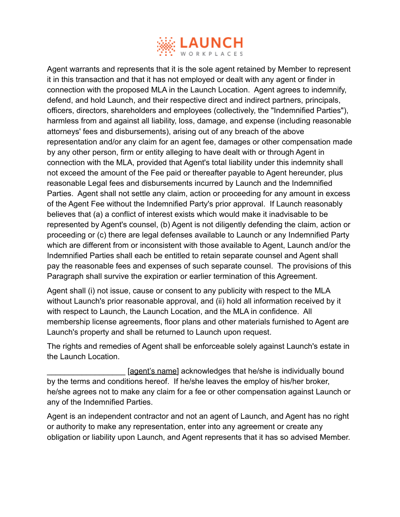

Agent warrants and represents that it is the sole agent retained by Member to represent it in this transaction and that it has not employed or dealt with any agent or finder in connection with the proposed MLA in the Launch Location. Agent agrees to indemnify, defend, and hold Launch, and their respective direct and indirect partners, principals, officers, directors, shareholders and employees (collectively, the "Indemnified Parties"), harmless from and against all liability, loss, damage, and expense (including reasonable attorneys' fees and disbursements), arising out of any breach of the above representation and/or any claim for an agent fee, damages or other compensation made by any other person, firm or entity alleging to have dealt with or through Agent in connection with the MLA, provided that Agent's total liability under this indemnity shall not exceed the amount of the Fee paid or thereafter payable to Agent hereunder, plus reasonable Legal fees and disbursements incurred by Launch and the Indemnified Parties. Agent shall not settle any claim, action or proceeding for any amount in excess of the Agent Fee without the Indemnified Party's prior approval. If Launch reasonably believes that (a) a conflict of interest exists which would make it inadvisable to be represented by Agent's counsel, (b) Agent is not diligently defending the claim, action or proceeding or (c) there are legal defenses available to Launch or any Indemnified Party which are different from or inconsistent with those available to Agent, Launch and/or the Indemnified Parties shall each be entitled to retain separate counsel and Agent shall pay the reasonable fees and expenses of such separate counsel. The provisions of this Paragraph shall survive the expiration or earlier termination of this Agreement.

Agent shall (i) not issue, cause or consent to any publicity with respect to the MLA without Launch's prior reasonable approval, and (ii) hold all information received by it with respect to Launch, the Launch Location, and the MLA in confidence. All membership license agreements, floor plans and other materials furnished to Agent are Launch's property and shall be returned to Launch upon request.

The rights and remedies of Agent shall be enforceable solely against Launch's estate in the Launch Location.

[agent's name] acknowledges that he/she is individually bound by the terms and conditions hereof. If he/she leaves the employ of his/her broker, he/she agrees not to make any claim for a fee or other compensation against Launch or any of the Indemnified Parties.

Agent is an independent contractor and not an agent of Launch, and Agent has no right or authority to make any representation, enter into any agreement or create any obligation or liability upon Launch, and Agent represents that it has so advised Member.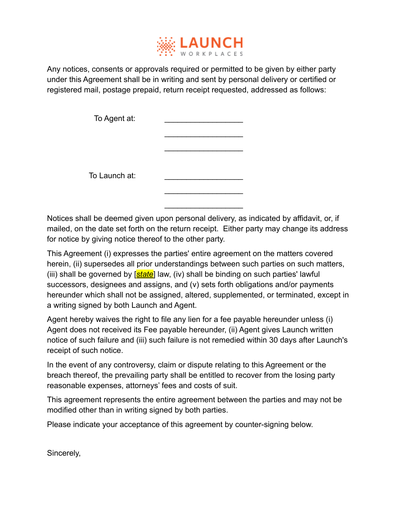

Any notices, consents or approvals required or permitted to be given by either party under this Agreement shall be in writing and sent by personal delivery or certified or registered mail, postage prepaid, return receipt requested, addressed as follows:

| To Agent at:  |  |
|---------------|--|
|               |  |
|               |  |
|               |  |
| To Launch at: |  |
|               |  |

Notices shall be deemed given upon personal delivery, as indicated by affidavit, or, if mailed, on the date set forth on the return receipt. Either party may change its address for notice by giving notice thereof to the other party.

 $\_$ 

This Agreement (i) expresses the parties' entire agreement on the matters covered herein, (ii) supersedes all prior understandings between such parties on such matters, (iii) shall be governed by [*state*] law, (iv) shall be binding on such parties' lawful successors, designees and assigns, and (v) sets forth obligations and/or payments hereunder which shall not be assigned, altered, supplemented, or terminated, except in a writing signed by both Launch and Agent.

Agent hereby waives the right to file any lien for a fee payable hereunder unless (i) Agent does not received its Fee payable hereunder, (ii) Agent gives Launch written notice of such failure and (iii) such failure is not remedied within 30 days after Launch's receipt of such notice.

In the event of any controversy, claim or dispute relating to this Agreement or the breach thereof, the prevailing party shall be entitled to recover from the losing party reasonable expenses, attorneys' fees and costs of suit.

This agreement represents the entire agreement between the parties and may not be modified other than in writing signed by both parties.

Please indicate your acceptance of this agreement by counter-signing below.

Sincerely,